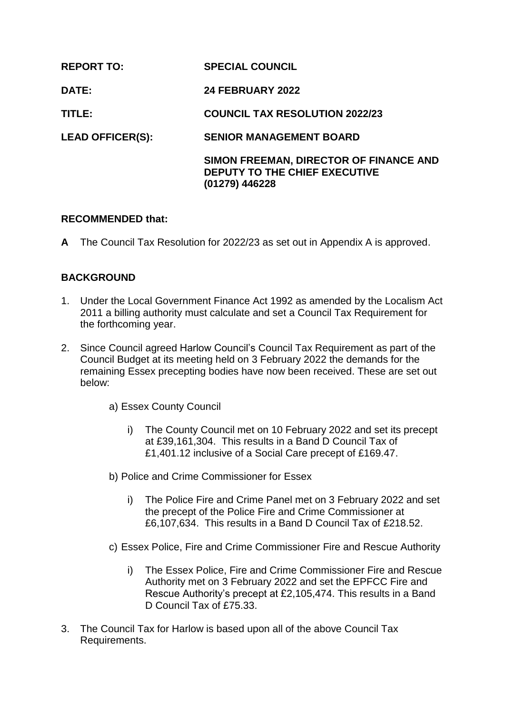| <b>REPORT TO:</b>       | <b>SPECIAL COUNCIL</b>                                                                    |
|-------------------------|-------------------------------------------------------------------------------------------|
| <b>DATE:</b>            | <b>24 FEBRUARY 2022</b>                                                                   |
| TITLE:                  | <b>COUNCIL TAX RESOLUTION 2022/23</b>                                                     |
| <b>LEAD OFFICER(S):</b> | <b>SENIOR MANAGEMENT BOARD</b>                                                            |
|                         | SIMON FREEMAN, DIRECTOR OF FINANCE AND<br>DEPUTY TO THE CHIEF EXECUTIVE<br>(01279) 446228 |

#### **RECOMMENDED that:**

**A** The Council Tax Resolution for 2022/23 as set out in Appendix A is approved.

## **BACKGROUND**

- 1. Under the Local Government Finance Act 1992 as amended by the Localism Act 2011 a billing authority must calculate and set a Council Tax Requirement for the forthcoming year.
- 2. Since Council agreed Harlow Council's Council Tax Requirement as part of the Council Budget at its meeting held on 3 February 2022 the demands for the remaining Essex precepting bodies have now been received. These are set out below:
	- a) Essex County Council
		- i) The County Council met on 10 February 2022 and set its precept at £39,161,304. This results in a Band D Council Tax of £1,401.12 inclusive of a Social Care precept of £169.47.
	- b) Police and Crime Commissioner for Essex
		- i) The Police Fire and Crime Panel met on 3 February 2022 and set the precept of the Police Fire and Crime Commissioner at £6,107,634. This results in a Band D Council Tax of £218.52.
	- c) Essex Police, Fire and Crime Commissioner Fire and Rescue Authority
		- i) The Essex Police, Fire and Crime Commissioner Fire and Rescue Authority met on 3 February 2022 and set the EPFCC Fire and Rescue Authority's precept at £2,105,474. This results in a Band D Council Tax of £75.33.
- 3. The Council Tax for Harlow is based upon all of the above Council Tax Requirements.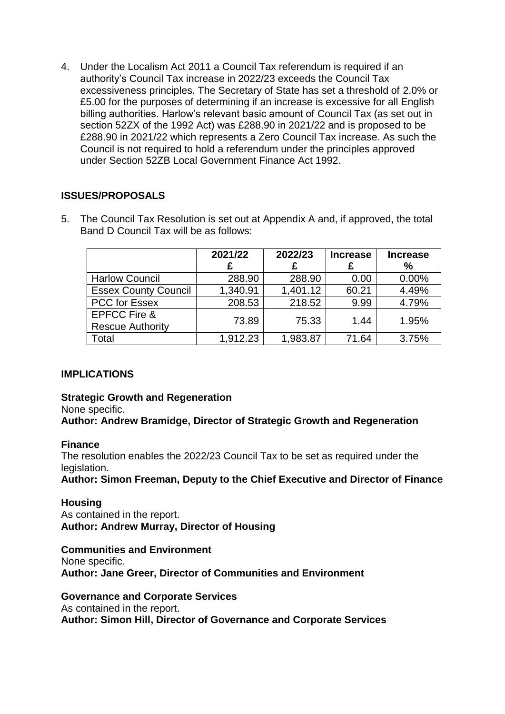4. Under the Localism Act 2011 a Council Tax referendum is required if an authority's Council Tax increase in 2022/23 exceeds the Council Tax excessiveness principles. The Secretary of State has set a threshold of 2.0% or £5.00 for the purposes of determining if an increase is excessive for all English billing authorities. Harlow's relevant basic amount of Council Tax (as set out in section 52ZX of the 1992 Act) was £288.90 in 2021/22 and is proposed to be £288.90 in 2021/22 which represents a Zero Council Tax increase. As such the Council is not required to hold a referendum under the principles approved under Section 52ZB Local Government Finance Act 1992.

## **ISSUES/PROPOSALS**

5. The Council Tax Resolution is set out at Appendix A and, if approved, the total Band D Council Tax will be as follows:

|                                                    | 2021/22<br>£ | 2022/23<br>£ | <b>Increase</b> | <b>Increase</b><br>% |
|----------------------------------------------------|--------------|--------------|-----------------|----------------------|
| <b>Harlow Council</b>                              | 288.90       | 288.90       | 0.00            | 0.00%                |
| <b>Essex County Council</b>                        | 1,340.91     | 1,401.12     | 60.21           | 4.49%                |
| <b>PCC for Essex</b>                               | 208.53       | 218.52       | 9.99            | 4.79%                |
| <b>EPFCC Fire &amp;</b><br><b>Rescue Authority</b> | 73.89        | 75.33        | 1.44            | 1.95%                |
| Total                                              | 1,912.23     | 1,983.87     | 71.64           | 3.75%                |

## **IMPLICATIONS**

#### **Strategic Growth and Regeneration**

None specific.

**Author: Andrew Bramidge, Director of Strategic Growth and Regeneration** 

#### **Finance**

The resolution enables the 2022/23 Council Tax to be set as required under the legislation.

**Author: Simon Freeman, Deputy to the Chief Executive and Director of Finance**

**Housing** As contained in the report. **Author: Andrew Murray, Director of Housing** 

**Communities and Environment** None specific. **Author: Jane Greer, Director of Communities and Environment**

**Governance and Corporate Services**

As contained in the report.

**Author: Simon Hill, Director of Governance and Corporate Services**